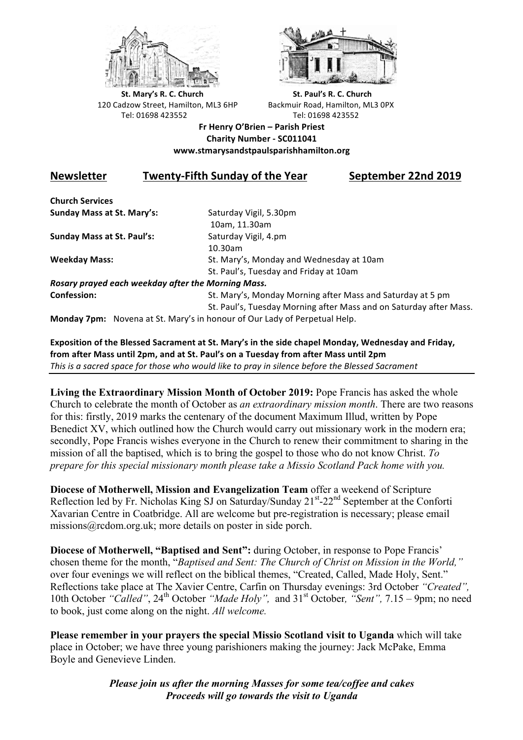



**St.** Mary's R. C. Church St. Paul's R. C. Church 120 Cadzow Street, Hamilton, ML3 6HP Backmuir Road, Hamilton, ML3 0PX Tel: 01698 423552 Tel: 01698 423552

## **Fr Henry O'Brien – Parish Priest Charity Number - SC011041 www.stmarysandstpaulsparishhamilton.org**

## **Newsletter Twenty-Fifth Sunday of the Year** September 22nd 2019

**Church Services Sunday Mass at St. Mary's:** Saturday Vigil, 5.30pm

**Sunday Mass at St. Paul's:** Saturday Vigil, 4.pm

 10am, 11.30am 10.30am **Weekday Mass:** St. Mary's, Monday and Wednesday at 10am St. Paul's, Tuesday and Friday at 10am

*Rosary prayed each weekday after the Morning Mass.* **Confession:** St. Mary's, Monday Morning after Mass and Saturday at 5 pm

St. Paul's, Tuesday Morning after Mass and on Saturday after Mass.

**Monday 7pm:** Novena at St. Mary's in honour of Our Lady of Perpetual Help.

Exposition of the Blessed Sacrament at St. Mary's in the side chapel Monday, Wednesday and Friday, from after Mass until 2pm, and at St. Paul's on a Tuesday from after Mass until 2pm This is a sacred space for those who would like to pray in silence before the Blessed Sacrament

**Living the Extraordinary Mission Month of October 2019:** Pope Francis has asked the whole Church to celebrate the month of October as *an extraordinary mission month*. There are two reasons for this: firstly, 2019 marks the centenary of the document Maximum Illud, written by Pope Benedict XV, which outlined how the Church would carry out missionary work in the modern era; secondly, Pope Francis wishes everyone in the Church to renew their commitment to sharing in the mission of all the baptised, which is to bring the gospel to those who do not know Christ. *To prepare for this special missionary month please take a Missio Scotland Pack home with you.*

**Diocese of Motherwell, Mission and Evangelization Team** offer a weekend of Scripture Reflection led by Fr. Nicholas King SJ on Saturday/Sunday 21<sup>st</sup>-22<sup>nd</sup> September at the Conforti Xavarian Centre in Coatbridge. All are welcome but pre-registration is necessary; please email missions@rcdom.org.uk; more details on poster in side porch.

**Diocese of Motherwell, "Baptised and Sent":** during October, in response to Pope Francis' chosen theme for the month, "*Baptised and Sent: The Church of Christ on Mission in the World,"*  over four evenings we will reflect on the biblical themes, "Created, Called, Made Holy, Sent." Reflections take place at The Xavier Centre, Carfin on Thursday evenings: 3rd October *"Created",* 10th October "Called", 24<sup>th</sup> October "Made Holy", and 31<sup>st</sup> October, "Sent", 7.15 – 9pm; no need to book, just come along on the night. *All welcome.*

**Please remember in your prayers the special Missio Scotland visit to Uganda** which will take place in October; we have three young parishioners making the journey: Jack McPake, Emma Boyle and Genevieve Linden.

> *Please join us after the morning Masses for some tea/coffee and cakes Proceeds will go towards the visit to Uganda*